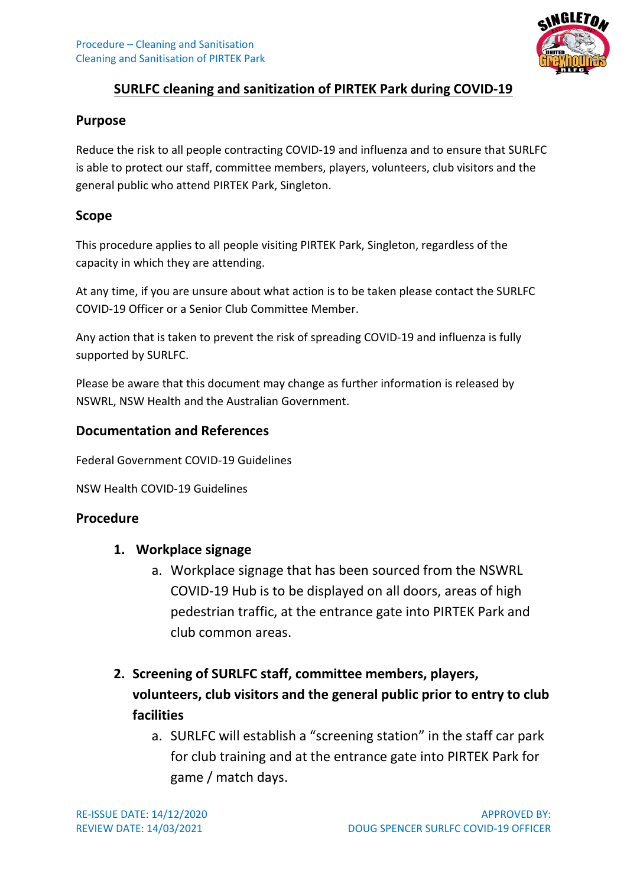

## **SURLFC cleaning and sanitization of PIRTEK Park during COVID-19**

#### **Purpose**

Reduce the risk to all people contracting COVID-19 and influenza and to ensure that SURLFC is able to protect our staff, committee members, players, volunteers, club visitors and the general public who attend PIRTEK Park, Singleton.

#### **Scope**

This procedure applies to all people visiting PIRTEK Park, Singleton, regardless of the capacity in which they are attending.

At any time, if you are unsure about what action is to be taken please contact the SURLFC COVID-19 Officer or a Senior Club Committee Member.

Any action that is taken to prevent the risk of spreading COVID-19 and influenza is fully supported by SURLFC.

Please be aware that this document may change as further information is released by NSWRL, NSW Health and the Australian Government.

### **Documentation and References**

Federal Government COVID-19 Guidelines

NSW Health COVID-19 Guidelines

### **Procedure**

#### **1. Workplace signage**

a. Workplace signage that has been sourced from the NSWRL COVID-19 Hub is to be displayed on all doors, areas of high pedestrian traffic, at the entrance gate into PIRTEK Park and club common areas.

# **2. Screening of SURLFC staff, committee members, players, volunteers, club visitors and the general public prior to entry to club facilities**

a. SURLFC will establish a "screening station" in the staff car park for club training and at the entrance gate into PIRTEK Park for game / match days.